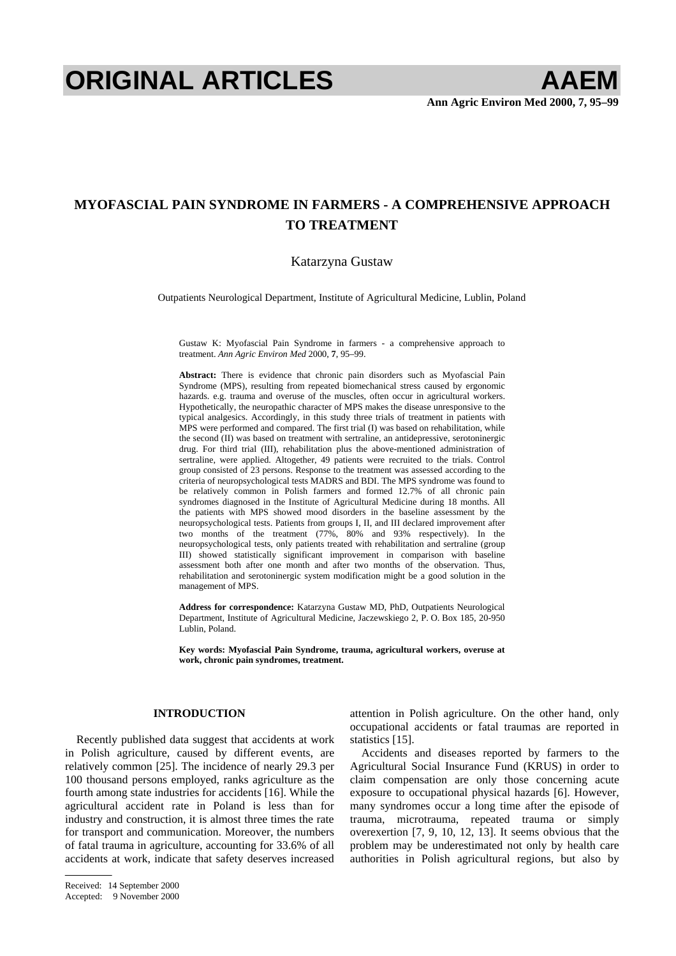# **ORIGINAL ARTICLES AAEM**

# **MYOFASCIAL PAIN SYNDROME IN FARMERS - A COMPREHENSIVE APPROACH TO TREATMENT**

# Katarzyna Gustaw

Outpatients Neurological Department, Institute of Agricultural Medicine, Lublin, Poland

Gustaw K: Myofascial Pain Syndrome in farmers - a comprehensive approach to treatment. *Ann Agric Environ Med* 2000, **7**, 95–99.

**Abstract:** There is evidence that chronic pain disorders such as Myofascial Pain Syndrome (MPS), resulting from repeated biomechanical stress caused by ergonomic hazards. e.g. trauma and overuse of the muscles, often occur in agricultural workers. Hypothetically, the neuropathic character of MPS makes the disease unresponsive to the typical analgesics. Accordingly, in this study three trials of treatment in patients with MPS were performed and compared. The first trial (I) was based on rehabilitation, while the second (II) was based on treatment with sertraline, an antidepressive, serotoninergic drug. For third trial (III), rehabilitation plus the above-mentioned administration of sertraline, were applied. Altogether, 49 patients were recruited to the trials. Control group consisted of 23 persons. Response to the treatment was assessed according to the criteria of neuropsychological tests MADRS and BDI. The MPS syndrome was found to be relatively common in Polish farmers and formed 12.7% of all chronic pain syndromes diagnosed in the Institute of Agricultural Medicine during 18 months. All the patients with MPS showed mood disorders in the baseline assessment by the neuropsychological tests. Patients from groups I, II, and III declared improvement after two months of the treatment (77%, 80% and 93% respectively). In the neuropsychological tests, only patients treated with rehabilitation and sertraline (group III) showed statistically significant improvement in comparison with baseline assessment both after one month and after two months of the observation. Thus, rehabilitation and serotoninergic system modification might be a good solution in the management of MPS.

**Address for correspondence:** Katarzyna Gustaw MD, PhD, Outpatients Neurological Department, Institute of Agricultural Medicine, Jaczewskiego 2, P. O. Box 185, 20-950 Lublin, Poland.

**Key words: Myofascial Pain Syndrome, trauma, agricultural workers, overuse at work, chronic pain syndromes, treatment.** 

# **INTRODUCTION**

Recently published data suggest that accidents at work in Polish agriculture, caused by different events, are relatively common [25]. The incidence of nearly 29.3 per 100 thousand persons employed, ranks agriculture as the fourth among state industries for accidents [16]. While the agricultural accident rate in Poland is less than for industry and construction, it is almost three times the rate for transport and communication. Moreover, the numbers of fatal trauma in agriculture, accounting for 33.6% of all accidents at work, indicate that safety deserves increased attention in Polish agriculture. On the other hand, only occupational accidents or fatal traumas are reported in statistics [15].

Accidents and diseases reported by farmers to the Agricultural Social Insurance Fund (KRUS) in order to claim compensation are only those concerning acute exposure to occupational physical hazards [6]. However, many syndromes occur a long time after the episode of trauma, microtrauma, repeated trauma or simply overexertion [7, 9, 10, 12, 13]. It seems obvious that the problem may be underestimated not only by health care authorities in Polish agricultural regions, but also by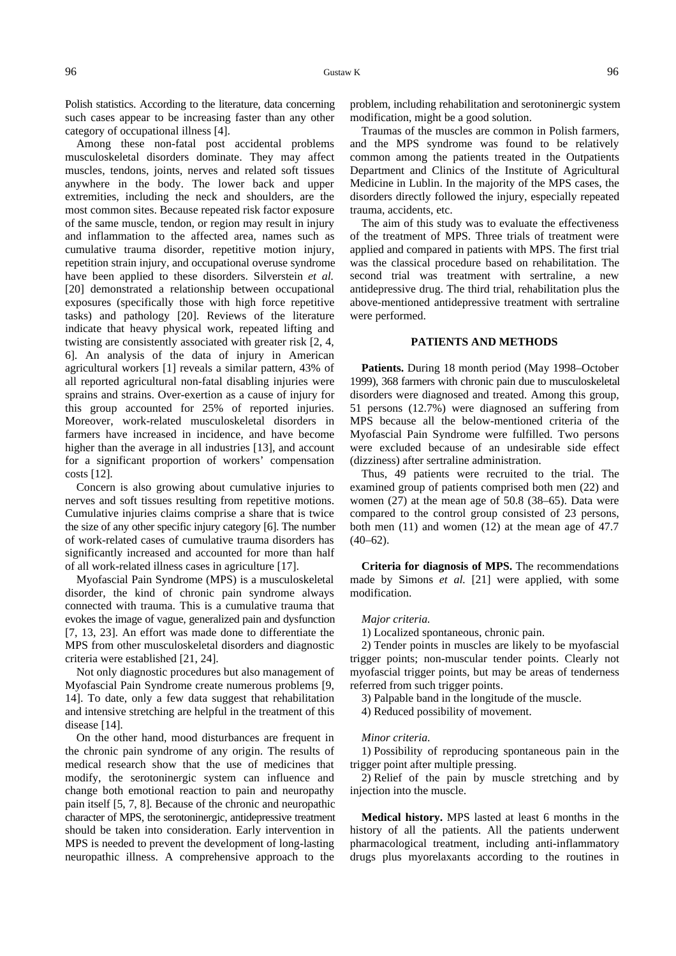Among these non-fatal post accidental problems musculoskeletal disorders dominate. They may affect muscles, tendons, joints, nerves and related soft tissues anywhere in the body. The lower back and upper extremities, including the neck and shoulders, are the most common sites. Because repeated risk factor exposure of the same muscle, tendon, or region may result in injury and inflammation to the affected area, names such as cumulative trauma disorder, repetitive motion injury, repetition strain injury, and occupational overuse syndrome have been applied to these disorders. Silverstein *et al.* [20] demonstrated a relationship between occupational exposures (specifically those with high force repetitive tasks) and pathology [20]. Reviews of the literature indicate that heavy physical work, repeated lifting and twisting are consistently associated with greater risk [2, 4, 6]. An analysis of the data of injury in American agricultural workers [1] reveals a similar pattern, 43% of all reported agricultural non-fatal disabling injuries were sprains and strains. Over-exertion as a cause of injury for this group accounted for 25% of reported injuries. Moreover, work-related musculoskeletal disorders in farmers have increased in incidence, and have become higher than the average in all industries [13], and account for a significant proportion of workers' compensation costs [12].

Concern is also growing about cumulative injuries to nerves and soft tissues resulting from repetitive motions. Cumulative injuries claims comprise a share that is twice the size of any other specific injury category [6]. The number of work-related cases of cumulative trauma disorders has significantly increased and accounted for more than half of all work-related illness cases in agriculture [17].

Myofascial Pain Syndrome (MPS) is a musculoskeletal disorder, the kind of chronic pain syndrome always connected with trauma. This is a cumulative trauma that evokes the image of vague, generalized pain and dysfunction [7, 13, 23]. An effort was made done to differentiate the MPS from other musculoskeletal disorders and diagnostic criteria were established [21, 24].

Not only diagnostic procedures but also management of Myofascial Pain Syndrome create numerous problems [9, 14]. To date, only a few data suggest that rehabilitation and intensive stretching are helpful in the treatment of this disease [14].

On the other hand, mood disturbances are frequent in the chronic pain syndrome of any origin. The results of medical research show that the use of medicines that modify, the serotoninergic system can influence and change both emotional reaction to pain and neuropathy pain itself [5, 7, 8]. Because of the chronic and neuropathic character of MPS, the serotoninergic, antidepressive treatment should be taken into consideration. Early intervention in MPS is needed to prevent the development of long-lasting neuropathic illness. A comprehensive approach to the

problem, including rehabilitation and serotoninergic system modification, might be a good solution.

Traumas of the muscles are common in Polish farmers, and the MPS syndrome was found to be relatively common among the patients treated in the Outpatients Department and Clinics of the Institute of Agricultural Medicine in Lublin. In the majority of the MPS cases, the disorders directly followed the injury, especially repeated trauma, accidents, etc.

The aim of this study was to evaluate the effectiveness of the treatment of MPS. Three trials of treatment were applied and compared in patients with MPS. The first trial was the classical procedure based on rehabilitation. The second trial was treatment with sertraline, a new antidepressive drug. The third trial, rehabilitation plus the above-mentioned antidepressive treatment with sertraline were performed.

## **PATIENTS AND METHODS**

**Patients.** During 18 month period (May 1998–October 1999), 368 farmers with chronic pain due to musculoskeletal disorders were diagnosed and treated. Among this group, 51 persons (12.7%) were diagnosed an suffering from MPS because all the below-mentioned criteria of the Myofascial Pain Syndrome were fulfilled. Two persons were excluded because of an undesirable side effect (dizziness) after sertraline administration.

Thus, 49 patients were recruited to the trial. The examined group of patients comprised both men (22) and women (27) at the mean age of 50.8 (38–65). Data were compared to the control group consisted of 23 persons, both men (11) and women (12) at the mean age of 47.7  $(40-62)$ .

**Criteria for diagnosis of MPS.** The recommendations made by Simons *et al.* [21] were applied, with some modification.

#### *Major criteria.*

1) Localized spontaneous, chronic pain.

2) Tender points in muscles are likely to be myofascial trigger points; non-muscular tender points. Clearly not myofascial trigger points, but may be areas of tenderness referred from such trigger points.

3) Palpable band in the longitude of the muscle.

4) Reduced possibility of movement.

#### *Minor criteria*.

1) Possibility of reproducing spontaneous pain in the trigger point after multiple pressing.

2) Relief of the pain by muscle stretching and by injection into the muscle.

**Medical history.** MPS lasted at least 6 months in the history of all the patients. All the patients underwent pharmacological treatment, including anti-inflammatory drugs plus myorelaxants according to the routines in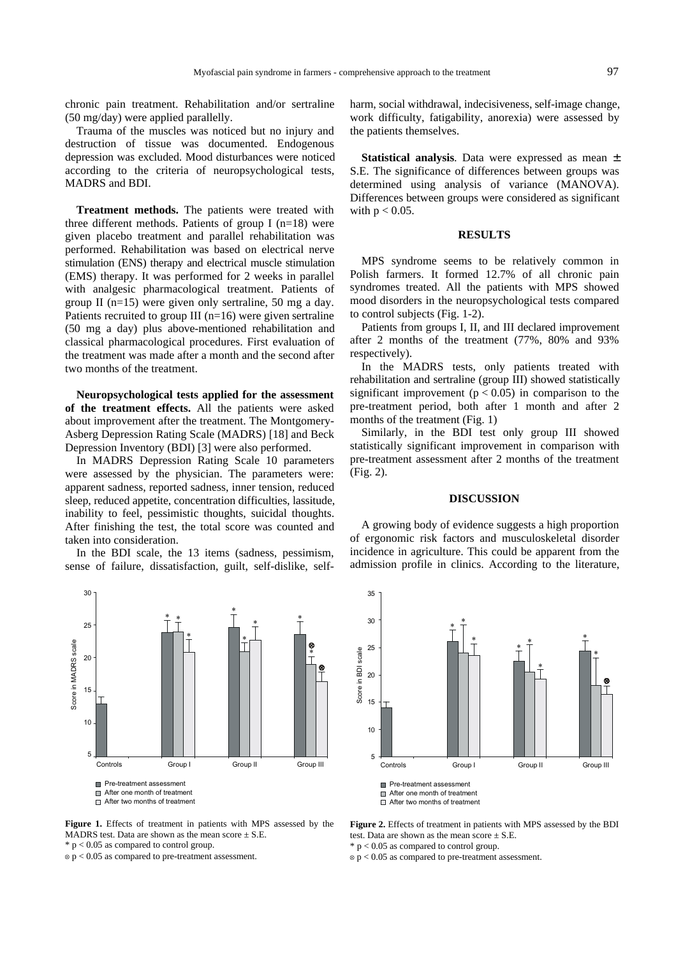chronic pain treatment. Rehabilitation and/or sertraline (50 mg/day) were applied parallelly.

Trauma of the muscles was noticed but no injury and destruction of tissue was documented. Endogenous depression was excluded. Mood disturbances were noticed according to the criteria of neuropsychological tests, MADRS and BDI.

**Treatment methods.** The patients were treated with three different methods. Patients of group I ( $n=18$ ) were given placebo treatment and parallel rehabilitation was performed. Rehabilitation was based on electrical nerve stimulation (ENS) therapy and electrical muscle stimulation (EMS) therapy. It was performed for 2 weeks in parallel with analgesic pharmacological treatment. Patients of group II (n=15) were given only sertraline, 50 mg a day. Patients recruited to group III ( $n=16$ ) were given sertraline (50 mg a day) plus above-mentioned rehabilitation and classical pharmacological procedures. First evaluation of the treatment was made after a month and the second after two months of the treatment.

**Neuropsychological tests applied for the assessment of the treatment effects.** All the patients were asked about improvement after the treatment. The Montgomery-Asberg Depression Rating Scale (MADRS) [18] and Beck Depression Inventory (BDI) [3] were also performed.

In MADRS Depression Rating Scale 10 parameters were assessed by the physician. The parameters were: apparent sadness, reported sadness, inner tension, reduced sleep, reduced appetite, concentration difficulties, lassitude, inability to feel, pessimistic thoughts, suicidal thoughts. After finishing the test, the total score was counted and taken into consideration.

In the BDI scale, the 13 items (sadness, pessimism, sense of failure, dissatisfaction, guilt, self-dislike, self-



**Figure 1.** Effects of treatment in patients with MPS assessed by the MADRS test. Data are shown as the mean score  $\pm$  S.E.  $*$  p < 0.05 as compared to control group.

 $\varphi$  p < 0.05 as compared to pre-treatment assessment.

harm, social withdrawal, indecisiveness, self-image change, work difficulty, fatigability, anorexia) were assessed by the patients themselves.

**Statistical analysis**. Data were expressed as mean ± S.E. The significance of differences between groups was determined using analysis of variance (MANOVA). Differences between groups were considered as significant with  $p < 0.05$ .

## **RESULTS**

MPS syndrome seems to be relatively common in Polish farmers. It formed 12.7% of all chronic pain syndromes treated. All the patients with MPS showed mood disorders in the neuropsychological tests compared to control subjects (Fig. 1-2).

Patients from groups I, II, and III declared improvement after 2 months of the treatment (77%, 80% and 93% respectively).

In the MADRS tests, only patients treated with rehabilitation and sertraline (group III) showed statistically significant improvement ( $p < 0.05$ ) in comparison to the pre-treatment period, both after 1 month and after 2 months of the treatment (Fig. 1)

Similarly, in the BDI test only group III showed statistically significant improvement in comparison with pre-treatment assessment after 2 months of the treatment (Fig. 2).

#### **DISCUSSION**

A growing body of evidence suggests a high proportion of ergonomic risk factors and musculoskeletal disorder incidence in agriculture. This could be apparent from the admission profile in clinics. According to the literature,



**Figure 2.** Effects of treatment in patients with MPS assessed by the BDI test. Data are shown as the mean score  $+ S.E$ .

 $*$  p < 0.05 as compared to control group.

 $\varphi$  p < 0.05 as compared to pre-treatment assessment.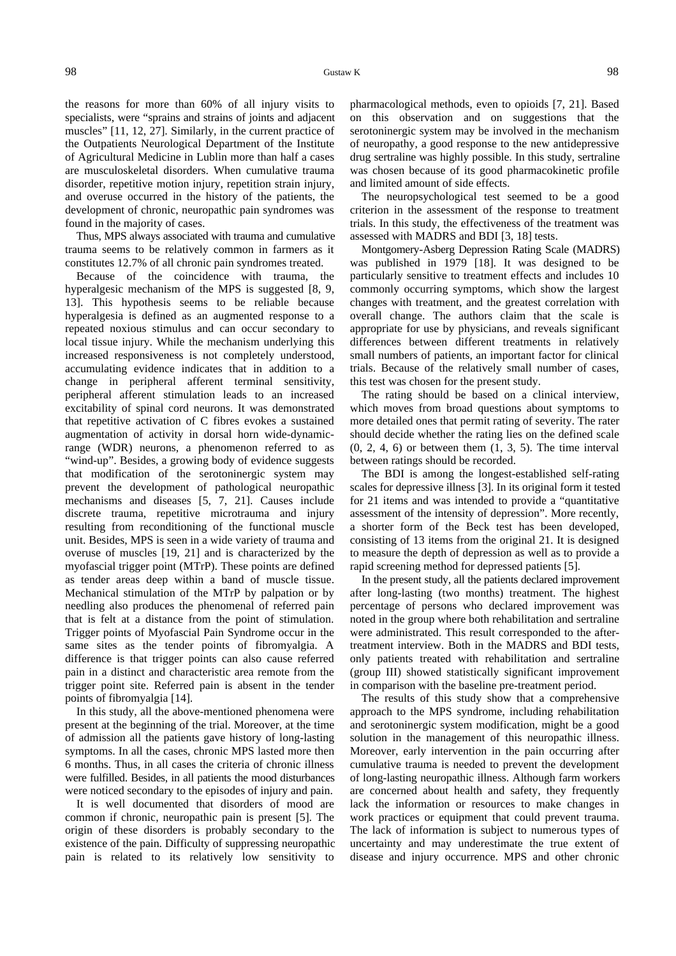#### 98 Gustaw K 98

the reasons for more than 60% of all injury visits to specialists, were "sprains and strains of joints and adjacent muscles" [11, 12, 27]. Similarly, in the current practice of the Outpatients Neurological Department of the Institute of Agricultural Medicine in Lublin more than half a cases are musculoskeletal disorders. When cumulative trauma disorder, repetitive motion injury, repetition strain injury, and overuse occurred in the history of the patients, the development of chronic, neuropathic pain syndromes was found in the majority of cases.

Thus, MPS always associated with trauma and cumulative trauma seems to be relatively common in farmers as it constitutes 12.7% of all chronic pain syndromes treated.

Because of the coincidence with trauma, the hyperalgesic mechanism of the MPS is suggested [8, 9, 13]. This hypothesis seems to be reliable because hyperalgesia is defined as an augmented response to a repeated noxious stimulus and can occur secondary to local tissue injury. While the mechanism underlying this increased responsiveness is not completely understood, accumulating evidence indicates that in addition to a change in peripheral afferent terminal sensitivity, peripheral afferent stimulation leads to an increased excitability of spinal cord neurons. It was demonstrated that repetitive activation of C fibres evokes a sustained augmentation of activity in dorsal horn wide-dynamicrange (WDR) neurons, a phenomenon referred to as "wind-up". Besides, a growing body of evidence suggests that modification of the serotoninergic system may prevent the development of pathological neuropathic mechanisms and diseases [5, 7, 21]. Causes include discrete trauma, repetitive microtrauma and injury resulting from reconditioning of the functional muscle unit. Besides, MPS is seen in a wide variety of trauma and overuse of muscles [19, 21] and is characterized by the myofascial trigger point (MTrP). These points are defined as tender areas deep within a band of muscle tissue. Mechanical stimulation of the MTrP by palpation or by needling also produces the phenomenal of referred pain that is felt at a distance from the point of stimulation. Trigger points of Myofascial Pain Syndrome occur in the same sites as the tender points of fibromyalgia. A difference is that trigger points can also cause referred pain in a distinct and characteristic area remote from the trigger point site. Referred pain is absent in the tender points of fibromyalgia [14].

In this study, all the above-mentioned phenomena were present at the beginning of the trial. Moreover, at the time of admission all the patients gave history of long-lasting symptoms. In all the cases, chronic MPS lasted more then 6 months. Thus, in all cases the criteria of chronic illness were fulfilled. Besides, in all patients the mood disturbances were noticed secondary to the episodes of injury and pain.

It is well documented that disorders of mood are common if chronic, neuropathic pain is present [5]. The origin of these disorders is probably secondary to the existence of the pain. Difficulty of suppressing neuropathic pain is related to its relatively low sensitivity to

pharmacological methods, even to opioids [7, 21]. Based on this observation and on suggestions that the serotoninergic system may be involved in the mechanism of neuropathy, a good response to the new antidepressive drug sertraline was highly possible. In this study, sertraline was chosen because of its good pharmacokinetic profile and limited amount of side effects.

The neuropsychological test seemed to be a good criterion in the assessment of the response to treatment trials. In this study, the effectiveness of the treatment was assessed with MADRS and BDI [3, 18] tests.

Montgomery-Asberg Depression Rating Scale (MADRS) was published in 1979 [18]. It was designed to be particularly sensitive to treatment effects and includes 10 commonly occurring symptoms, which show the largest changes with treatment, and the greatest correlation with overall change. The authors claim that the scale is appropriate for use by physicians, and reveals significant differences between different treatments in relatively small numbers of patients, an important factor for clinical trials. Because of the relatively small number of cases, this test was chosen for the present study.

The rating should be based on a clinical interview, which moves from broad questions about symptoms to more detailed ones that permit rating of severity. The rater should decide whether the rating lies on the defined scale  $(0, 2, 4, 6)$  or between them  $(1, 3, 5)$ . The time interval between ratings should be recorded.

The BDI is among the longest-established self-rating scales for depressive illness [3]. In its original form it tested for 21 items and was intended to provide a "quantitative assessment of the intensity of depression". More recently, a shorter form of the Beck test has been developed, consisting of 13 items from the original 21. It is designed to measure the depth of depression as well as to provide a rapid screening method for depressed patients [5].

In the present study, all the patients declared improvement after long-lasting (two months) treatment. The highest percentage of persons who declared improvement was noted in the group where both rehabilitation and sertraline were administrated. This result corresponded to the aftertreatment interview. Both in the MADRS and BDI tests, only patients treated with rehabilitation and sertraline (group III) showed statistically significant improvement in comparison with the baseline pre-treatment period.

The results of this study show that a comprehensive approach to the MPS syndrome, including rehabilitation and serotoninergic system modification, might be a good solution in the management of this neuropathic illness. Moreover, early intervention in the pain occurring after cumulative trauma is needed to prevent the development of long-lasting neuropathic illness. Although farm workers are concerned about health and safety, they frequently lack the information or resources to make changes in work practices or equipment that could prevent trauma. The lack of information is subject to numerous types of uncertainty and may underestimate the true extent of disease and injury occurrence. MPS and other chronic